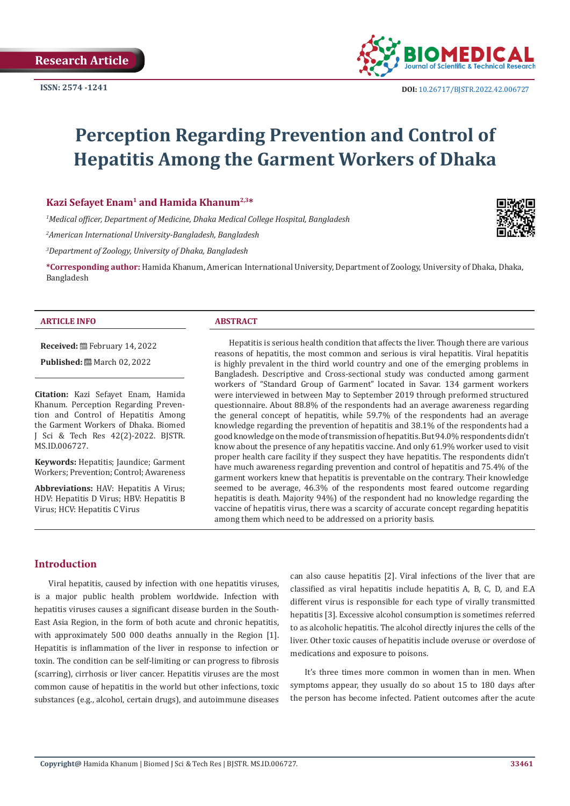

# **Perception Regarding Prevention and Control of Hepatitis Among the Garment Workers of Dhaka**

#### **Kazi Sefayet Enam1 and Hamida Khanum2,3\***

*1 Medical officer, Department of Medicine, Dhaka Medical College Hospital, Bangladesh*

*2 American International University-Bangladesh, Bangladesh*

*3 Department of Zoology, University of Dhaka, Bangladesh*

**\*Corresponding author:** Hamida Khanum, American International University, Department of Zoology, University of Dhaka, Dhaka, Bangladesh

#### **ARTICLE INFO ABSTRACT**

**Received:** February 14, 2022

**Published:** ■ March 02, 2022

**Citation:** Kazi Sefayet Enam, Hamida Khanum. Perception Regarding Prevention and Control of Hepatitis Among the Garment Workers of Dhaka. Biomed J Sci & Tech Res 42(2)-2022. BJSTR. MS.ID.006727.

**Keywords:** Hepatitis; Jaundice; Garment Workers; Prevention; Control; Awareness

**Abbreviations:** HAV: Hepatitis A Virus; HDV: Hepatitis D Virus; HBV: Hepatitis B Virus; HCV: Hepatitis C Virus

Hepatitis is serious health condition that affects the liver. Though there are various reasons of hepatitis, the most common and serious is viral hepatitis. Viral hepatitis is highly prevalent in the third world country and one of the emerging problems in Bangladesh. Descriptive and Cross-sectional study was conducted among garment workers of "Standard Group of Garment" located in Savar. 134 garment workers were interviewed in between May to September 2019 through preformed structured questionnaire. About 88.8% of the respondents had an average awareness regarding the general concept of hepatitis, while 59.7% of the respondents had an average knowledge regarding the prevention of hepatitis and 38.1% of the respondents had a good knowledge on the mode of transmission of hepatitis. But 94.0% respondents didn't know about the presence of any hepatitis vaccine. And only 61.9% worker used to visit proper health care facility if they suspect they have hepatitis. The respondents didn't have much awareness regarding prevention and control of hepatitis and 75.4% of the garment workers knew that hepatitis is preventable on the contrary. Their knowledge seemed to be average, 46.3% of the respondents most feared outcome regarding hepatitis is death. Majority 94%) of the respondent had no knowledge regarding the vaccine of hepatitis virus, there was a scarcity of accurate concept regarding hepatitis among them which need to be addressed on a priority basis.

#### **Introduction**

Viral hepatitis, caused by infection with one hepatitis viruses, is a major public health problem worldwide. Infection with hepatitis viruses causes a significant disease burden in the South-East Asia Region, in the form of both acute and chronic hepatitis, with approximately 500 000 deaths annually in the Region [1]. Hepatitis is inflammation of the liver in response to infection or toxin. The condition can be self-limiting or can progress to fibrosis (scarring), cirrhosis or liver cancer. Hepatitis viruses are the most common cause of hepatitis in the world but other infections, toxic substances (e.g., alcohol, certain drugs), and autoimmune diseases

can also cause hepatitis [2]. Viral infections of the liver that are classified as viral hepatitis include hepatitis A, B, C, D, and E.A different virus is responsible for each type of virally transmitted hepatitis [3]. Excessive alcohol consumption is sometimes referred to as alcoholic hepatitis. The alcohol directly injures the cells of the liver. Other toxic causes of hepatitis include overuse or overdose of medications and exposure to poisons.

It's three times more common in women than in men. When symptoms appear, they usually do so about 15 to 180 days after the person has become infected. Patient outcomes after the acute

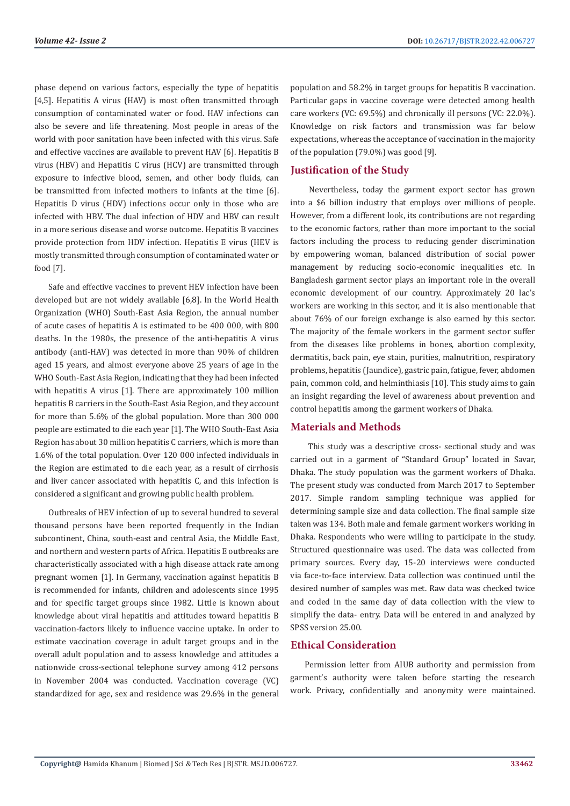phase depend on various factors, especially the type of hepatitis [4,5]. Hepatitis A virus (HAV) is most often transmitted through consumption of contaminated water or food. HAV infections can also be severe and life threatening. Most people in areas of the world with poor sanitation have been infected with this virus. Safe and effective vaccines are available to prevent HAV [6]. Hepatitis B virus (HBV) and Hepatitis C virus (HCV) are transmitted through exposure to infective blood, semen, and other body fluids, can be transmitted from infected mothers to infants at the time [6]. Hepatitis D virus (HDV) infections occur only in those who are infected with HBV. The dual infection of HDV and HBV can result in a more serious disease and worse outcome. Hepatitis B vaccines provide protection from HDV infection. Hepatitis E virus (HEV is mostly transmitted through consumption of contaminated water or food [7].

Safe and effective vaccines to prevent HEV infection have been developed but are not widely available [6,8]. In the World Health Organization (WHO) South-East Asia Region, the annual number of acute cases of hepatitis A is estimated to be 400 000, with 800 deaths. In the 1980s, the presence of the anti-hepatitis A virus antibody (anti-HAV) was detected in more than 90% of children aged 15 years, and almost everyone above 25 years of age in the WHO South-East Asia Region, indicating that they had been infected with hepatitis A virus [1]. There are approximately 100 million hepatitis B carriers in the South-East Asia Region, and they account for more than 5.6% of the global population. More than 300 000 people are estimated to die each year [1]. The WHO South-East Asia Region has about 30 million hepatitis C carriers, which is more than 1.6% of the total population. Over 120 000 infected individuals in the Region are estimated to die each year, as a result of cirrhosis and liver cancer associated with hepatitis C, and this infection is considered a significant and growing public health problem.

Outbreaks of HEV infection of up to several hundred to several thousand persons have been reported frequently in the Indian subcontinent, China, south-east and central Asia, the Middle East, and northern and western parts of Africa. Hepatitis E outbreaks are characteristically associated with a high disease attack rate among pregnant women [1]. In Germany, vaccination against hepatitis B is recommended for infants, children and adolescents since 1995 and for specific target groups since 1982. Little is known about knowledge about viral hepatitis and attitudes toward hepatitis B vaccination-factors likely to influence vaccine uptake. In order to estimate vaccination coverage in adult target groups and in the overall adult population and to assess knowledge and attitudes a nationwide cross-sectional telephone survey among 412 persons in November 2004 was conducted. Vaccination coverage (VC) standardized for age, sex and residence was 29.6% in the general

population and 58.2% in target groups for hepatitis B vaccination. Particular gaps in vaccine coverage were detected among health care workers (VC: 69.5%) and chronically ill persons (VC: 22.0%). Knowledge on risk factors and transmission was far below expectations, whereas the acceptance of vaccination in the majority of the population (79.0%) was good [9].

# **Justification of the Study**

 Nevertheless, today the garment export sector has grown into a \$6 billion industry that employs over millions of people. However, from a different look, its contributions are not regarding to the economic factors, rather than more important to the social factors including the process to reducing gender discrimination by empowering woman, balanced distribution of social power management by reducing socio-economic inequalities etc. In Bangladesh garment sector plays an important role in the overall economic development of our country. Approximately 20 lac's workers are working in this sector, and it is also mentionable that about 76% of our foreign exchange is also earned by this sector. The majority of the female workers in the garment sector suffer from the diseases like problems in bones, abortion complexity, dermatitis, back pain, eye stain, purities, malnutrition, respiratory problems, hepatitis (Jaundice), gastric pain, fatigue, fever, abdomen pain, common cold, and helminthiasis [10]. This study aims to gain an insight regarding the level of awareness about prevention and control hepatitis among the garment workers of Dhaka.

### **Materials and Methods**

 This study was a descriptive cross- sectional study and was carried out in a garment of "Standard Group" located in Savar, Dhaka. The study population was the garment workers of Dhaka. The present study was conducted from March 2017 to September 2017. Simple random sampling technique was applied for determining sample size and data collection. The final sample size taken was 134. Both male and female garment workers working in Dhaka. Respondents who were willing to participate in the study. Structured questionnaire was used. The data was collected from primary sources. Every day, 15-20 interviews were conducted via face-to-face interview. Data collection was continued until the desired number of samples was met. Raw data was checked twice and coded in the same day of data collection with the view to simplify the data- entry. Data will be entered in and analyzed by SPSS version 25.00.

# **Ethical Consideration**

Permission letter from AIUB authority and permission from garment's authority were taken before starting the research work. Privacy, confidentially and anonymity were maintained.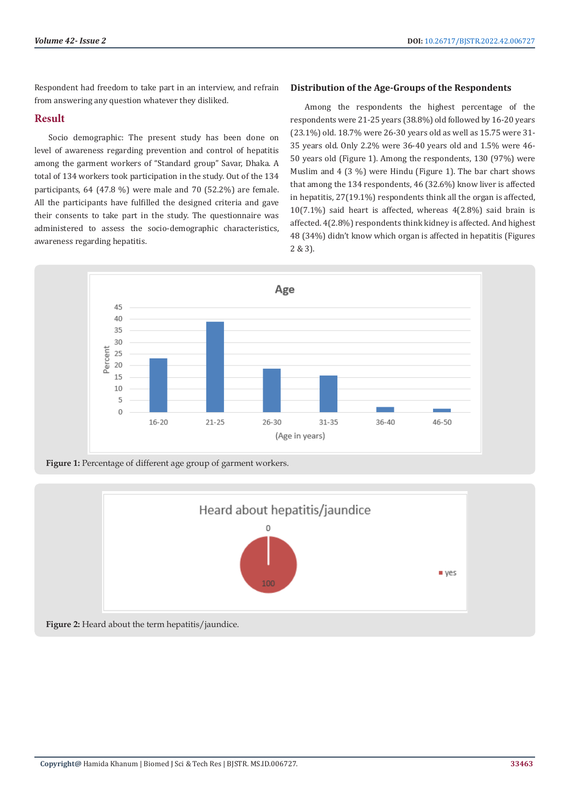Respondent had freedom to take part in an interview, and refrain from answering any question whatever they disliked.

# **Result**

Socio demographic: The present study has been done on level of awareness regarding prevention and control of hepatitis among the garment workers of "Standard group" Savar, Dhaka. A total of 134 workers took participation in the study. Out of the 134 participants, 64 (47.8 %) were male and 70 (52.2%) are female. All the participants have fulfilled the designed criteria and gave their consents to take part in the study. The questionnaire was administered to assess the socio-demographic characteristics, awareness regarding hepatitis.

# **Distribution of the Age-Groups of the Respondents**

Among the respondents the highest percentage of the respondents were 21-25 years (38.8%) old followed by 16-20 years (23.1%) old. 18.7% were 26-30 years old as well as 15.75 were 31- 35 years old. Only 2.2% were 36-40 years old and 1.5% were 46- 50 years old (Figure 1). Among the respondents, 130 (97%) were Muslim and 4 (3 %) were Hindu (Figure 1). The bar chart shows that among the 134 respondents, 46 (32.6%) know liver is affected in hepatitis, 27(19.1%) respondents think all the organ is affected, 10(7.1%) said heart is affected, whereas 4(2.8%) said brain is affected. 4(2.8%) respondents think kidney is affected. And highest 48 (34%) didn't know which organ is affected in hepatitis (Figures 2 & 3).



**Figure 1:** Percentage of different age group of garment workers.

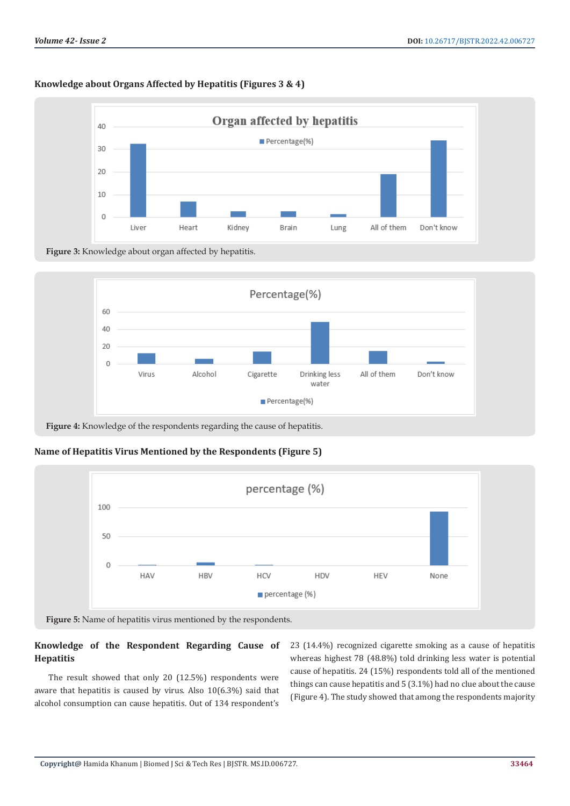# **Knowledge about Organs Affected by Hepatitis (Figures 3 & 4)**



**Figure 3:** Knowledge about organ affected by hepatitis.



**Figure 4:** Knowledge of the respondents regarding the cause of hepatitis.

# **Name of Hepatitis Virus Mentioned by the Respondents (Figure 5)**



**Figure 5:** Name of hepatitis virus mentioned by the respondents.

# **Knowledge of the Respondent Regarding Cause of Hepatitis**

The result showed that only 20 (12.5%) respondents were aware that hepatitis is caused by virus. Also 10(6.3%) said that alcohol consumption can cause hepatitis. Out of 134 respondent's

23 (14.4%) recognized cigarette smoking as a cause of hepatitis whereas highest 78 (48.8%) told drinking less water is potential cause of hepatitis. 24 (15%) respondents told all of the mentioned things can cause hepatitis and 5 (3.1%) had no clue about the cause (Figure 4). The study showed that among the respondents majority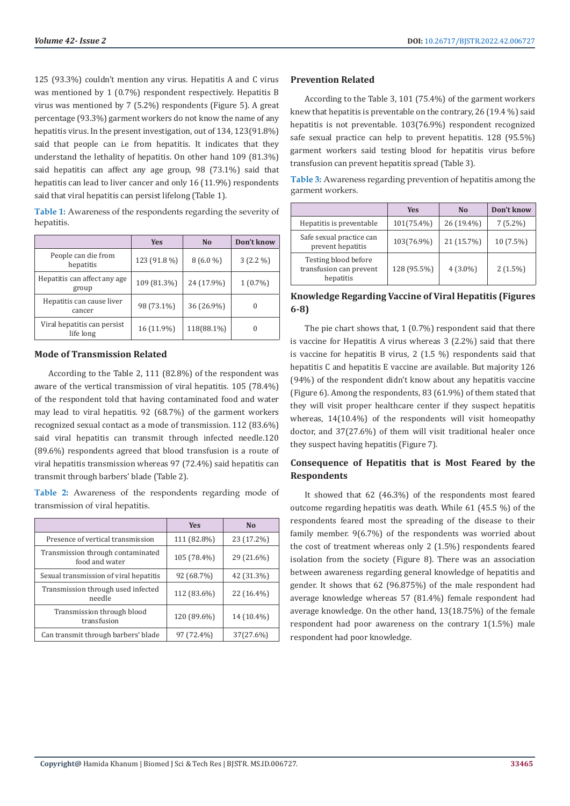125 (93.3%) couldn't mention any virus. Hepatitis A and C virus was mentioned by 1 (0.7%) respondent respectively. Hepatitis B virus was mentioned by 7 (5.2%) respondents (Figure 5). A great percentage (93.3%) garment workers do not know the name of any hepatitis virus. In the present investigation, out of 134, 123(91.8%) said that people can i.e from hepatitis. It indicates that they understand the lethality of hepatitis. On other hand 109 (81.3%) said hepatitis can affect any age group, 98 (73.1%) said that hepatitis can lead to liver cancer and only 16 (11.9%) respondents said that viral hepatitis can persist lifelong (Table 1).

**Table 1:** Awareness of the respondents regarding the severity of hepatitis.

|                                          | <b>Yes</b>   | N <sub>o</sub> | Don't know |
|------------------------------------------|--------------|----------------|------------|
| People can die from<br>hepatitis         | 123 (91.8 %) | $8(6.0\%)$     | $3(2.2\%)$ |
| Hepatitis can affect any age<br>group    | 109 (81.3%)  | 24 (17.9%)     | $1(0.7\%)$ |
| Hepatitis can cause liver<br>cancer      | 98 (73.1%)   | 36 (26.9%)     | $\theta$   |
| Viral hepatitis can persist<br>life long | 16 (11.9%)   | 118(88.1%)     |            |

### **Mode of Transmission Related**

According to the Table 2, 111 (82.8%) of the respondent was aware of the vertical transmission of viral hepatitis. 105 (78.4%) of the respondent told that having contaminated food and water may lead to viral hepatitis. 92 (68.7%) of the garment workers recognized sexual contact as a mode of transmission. 112 (83.6%) said viral hepatitis can transmit through infected needle.120 (89.6%) respondents agreed that blood transfusion is a route of viral hepatitis transmission whereas 97 (72.4%) said hepatitis can transmit through barbers' blade (Table 2).

**Table 2:** Awareness of the respondents regarding mode of transmission of viral hepatitis.

|                                                     | <b>Yes</b>  | N <sub>0</sub> |
|-----------------------------------------------------|-------------|----------------|
| Presence of vertical transmission                   | 111 (82.8%) | 23 (17.2%)     |
| Transmission through contaminated<br>food and water | 105 (78.4%) | 29 (21.6%)     |
| Sexual transmission of viral hepatitis              | 92 (68.7%)  | 42 (31.3%)     |
| Transmission through used infected<br>needle        | 112 (83.6%) | 22 (16.4%)     |
| Transmission through blood<br>transfusion           | 120 (89.6%) | 14 (10.4%)     |
| Can transmit through barbers' blade                 | 97 (72.4%)  | 37(27.6%)      |

#### **Prevention Related**

According to the Table 3, 101 (75.4%) of the garment workers knew that hepatitis is preventable on the contrary, 26 (19.4 %) said hepatitis is not preventable. 103(76.9%) respondent recognized safe sexual practice can help to prevent hepatitis. 128 (95.5%) garment workers said testing blood for hepatitis virus before transfusion can prevent hepatitis spread (Table 3).

**Table 3:** Awareness regarding prevention of hepatitis among the garment workers.

|                                                              | <b>Yes</b>  | N <sub>0</sub> | Don't know |
|--------------------------------------------------------------|-------------|----------------|------------|
| Hepatitis is preventable                                     | 101(75.4%)  | 26 (19.4%)     | $7(5.2\%)$ |
| Safe sexual practice can<br>prevent hepatitis                | 103(76.9%)  | 21 (15.7%)     | 10 (7.5%)  |
| Testing blood before<br>transfusion can prevent<br>hepatitis | 128 (95.5%) | $4(3.0\%)$     | $2(1.5\%)$ |

# **Knowledge Regarding Vaccine of Viral Hepatitis (Figures 6-8)**

The pie chart shows that, 1 (0.7%) respondent said that there is vaccine for Hepatitis A virus whereas 3 (2.2%) said that there is vaccine for hepatitis B virus, 2 (1.5 %) respondents said that hepatitis C and hepatitis E vaccine are available. But majority 126 (94%) of the respondent didn't know about any hepatitis vaccine (Figure 6). Among the respondents, 83 (61.9%) of them stated that they will visit proper healthcare center if they suspect hepatitis whereas, 14(10.4%) of the respondents will visit homeopathy doctor, and 37(27.6%) of them will visit traditional healer once they suspect having hepatitis (Figure 7).

# **Consequence of Hepatitis that is Most Feared by the Respondents**

It showed that 62 (46.3%) of the respondents most feared outcome regarding hepatitis was death. While 61 (45.5 %) of the respondents feared most the spreading of the disease to their family member. 9(6.7%) of the respondents was worried about the cost of treatment whereas only 2 (1.5%) respondents feared isolation from the society (Figure 8). There was an association between awareness regarding general knowledge of hepatitis and gender. It shows that 62 (96.875%) of the male respondent had average knowledge whereas 57 (81.4%) female respondent had average knowledge. On the other hand, 13(18.75%) of the female respondent had poor awareness on the contrary 1(1.5%) male respondent had poor knowledge.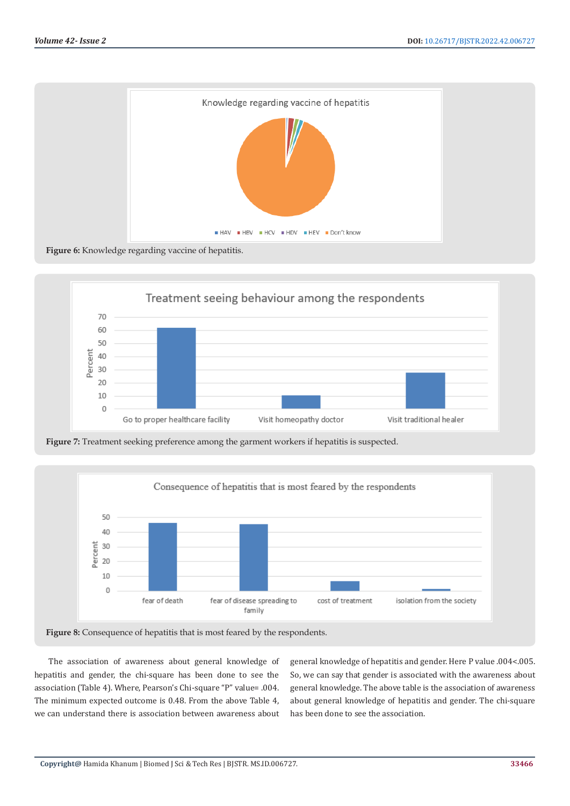



**Figure 7:** Treatment seeking preference among the garment workers if hepatitis is suspected.



**Figure 8:** Consequence of hepatitis that is most feared by the respondents.

The association of awareness about general knowledge of hepatitis and gender, the chi-square has been done to see the association (Table 4). Where, Pearson's Chi-square "P" value= .004. The minimum expected outcome is 0.48. From the above Table 4, we can understand there is association between awareness about

general knowledge of hepatitis and gender. Here P value .004<.005. So, we can say that gender is associated with the awareness about general knowledge. The above table is the association of awareness about general knowledge of hepatitis and gender. The chi-square has been done to see the association.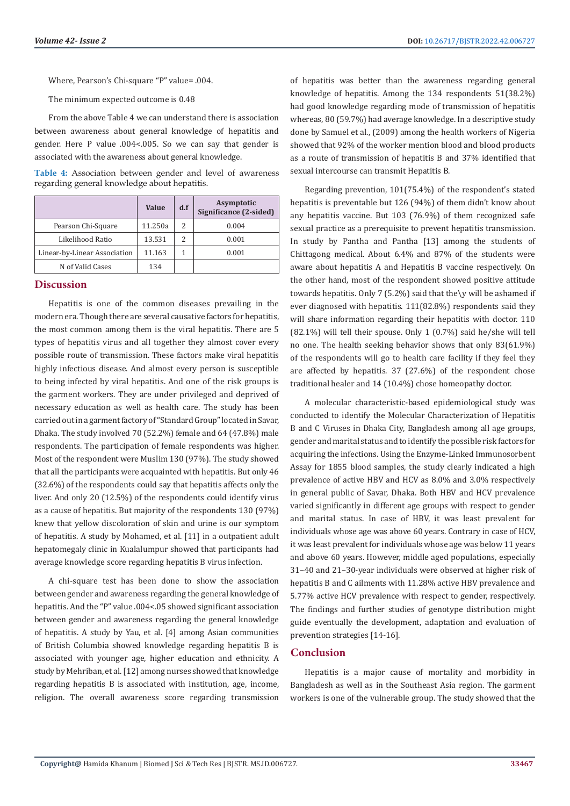Where, Pearson's Chi-square "P" value= .004.

The minimum expected outcome is 0.48

From the above Table 4 we can understand there is association between awareness about general knowledge of hepatitis and gender. Here P value .004<.005. So we can say that gender is associated with the awareness about general knowledge.

| Table 4: Association between gender and level of awareness |  |  |  |
|------------------------------------------------------------|--|--|--|
| regarding general knowledge about hepatitis.               |  |  |  |

|                              | Value   | d.f | Asymptotic<br>Significance (2-sided) |
|------------------------------|---------|-----|--------------------------------------|
| Pearson Chi-Square           | 11.250a | 2   | 0.004                                |
| Likelihood Ratio             | 13.531  | 2   | 0.001                                |
| Linear-by-Linear Association | 11.163  |     | 0.001                                |
| N of Valid Cases             | 134     |     |                                      |

#### **Discussion**

Hepatitis is one of the common diseases prevailing in the modern era. Though there are several causative factors for hepatitis, the most common among them is the viral hepatitis. There are 5 types of hepatitis virus and all together they almost cover every possible route of transmission. These factors make viral hepatitis highly infectious disease. And almost every person is susceptible to being infected by viral hepatitis. And one of the risk groups is the garment workers. They are under privileged and deprived of necessary education as well as health care. The study has been carried out in a garment factory of "Standard Group" located in Savar, Dhaka. The study involved 70 (52.2%) female and 64 (47.8%) male respondents. The participation of female respondents was higher. Most of the respondent were Muslim 130 (97%). The study showed that all the participants were acquainted with hepatitis. But only 46 (32.6%) of the respondents could say that hepatitis affects only the liver. And only 20 (12.5%) of the respondents could identify virus as a cause of hepatitis. But majority of the respondents 130 (97%) knew that yellow discoloration of skin and urine is our symptom of hepatitis. A study by Mohamed, et al. [11] in a outpatient adult hepatomegaly clinic in Kualalumpur showed that participants had average knowledge score regarding hepatitis B virus infection.

A chi-square test has been done to show the association between gender and awareness regarding the general knowledge of hepatitis. And the "P" value .004<.05 showed significant association between gender and awareness regarding the general knowledge of hepatitis. A study by Yau, et al. [4] among Asian communities of British Columbia showed knowledge regarding hepatitis B is associated with younger age, higher education and ethnicity. A study by Mehriban, et al. [12] among nurses showed that knowledge regarding hepatitis B is associated with institution, age, income, religion. The overall awareness score regarding transmission

of hepatitis was better than the awareness regarding general knowledge of hepatitis. Among the 134 respondents 51(38.2%) had good knowledge regarding mode of transmission of hepatitis whereas, 80 (59.7%) had average knowledge. In a descriptive study done by Samuel et al., (2009) among the health workers of Nigeria showed that 92% of the worker mention blood and blood products as a route of transmission of hepatitis B and 37% identified that sexual intercourse can transmit Hepatitis B.

Regarding prevention, 101(75.4%) of the respondent's stated hepatitis is preventable but 126 (94%) of them didn't know about any hepatitis vaccine. But 103 (76.9%) of them recognized safe sexual practice as a prerequisite to prevent hepatitis transmission. In study by Pantha and Pantha [13] among the students of Chittagong medical. About 6.4% and 87% of the students were aware about hepatitis A and Hepatitis B vaccine respectively. On the other hand, most of the respondent showed positive attitude towards hepatitis. Only 7 (5.2%) said that the\y will be ashamed if ever diagnosed with hepatitis. 111(82.8%) respondents said they will share information regarding their hepatitis with doctor. 110 (82.1%) will tell their spouse. Only 1 (0.7%) said he/she will tell no one. The health seeking behavior shows that only 83(61.9%) of the respondents will go to health care facility if they feel they are affected by hepatitis. 37 (27.6%) of the respondent chose traditional healer and 14 (10.4%) chose homeopathy doctor.

A molecular characteristic-based epidemiological study was conducted to identify the Molecular Characterization of Hepatitis B and C Viruses in Dhaka City, Bangladesh among all age groups, gender and marital status and to identify the possible risk factors for acquiring the infections. Using the Enzyme-Linked Immunosorbent Assay for 1855 blood samples, the study clearly indicated a high prevalence of active HBV and HCV as 8.0% and 3.0% respectively in general public of Savar, Dhaka. Both HBV and HCV prevalence varied significantly in different age groups with respect to gender and marital status. In case of HBV, it was least prevalent for individuals whose age was above 60 years. Contrary in case of HCV, it was least prevalent for individuals whose age was below 11 years and above 60 years. However, middle aged populations, especially 31–40 and 21–30-year individuals were observed at higher risk of hepatitis B and C ailments with 11.28% active HBV prevalence and 5.77% active HCV prevalence with respect to gender, respectively. The findings and further studies of genotype distribution might guide eventually the development, adaptation and evaluation of prevention strategies [14-16].

# **Conclusion**

Hepatitis is a major cause of mortality and morbidity in Bangladesh as well as in the Southeast Asia region. The garment workers is one of the vulnerable group. The study showed that the